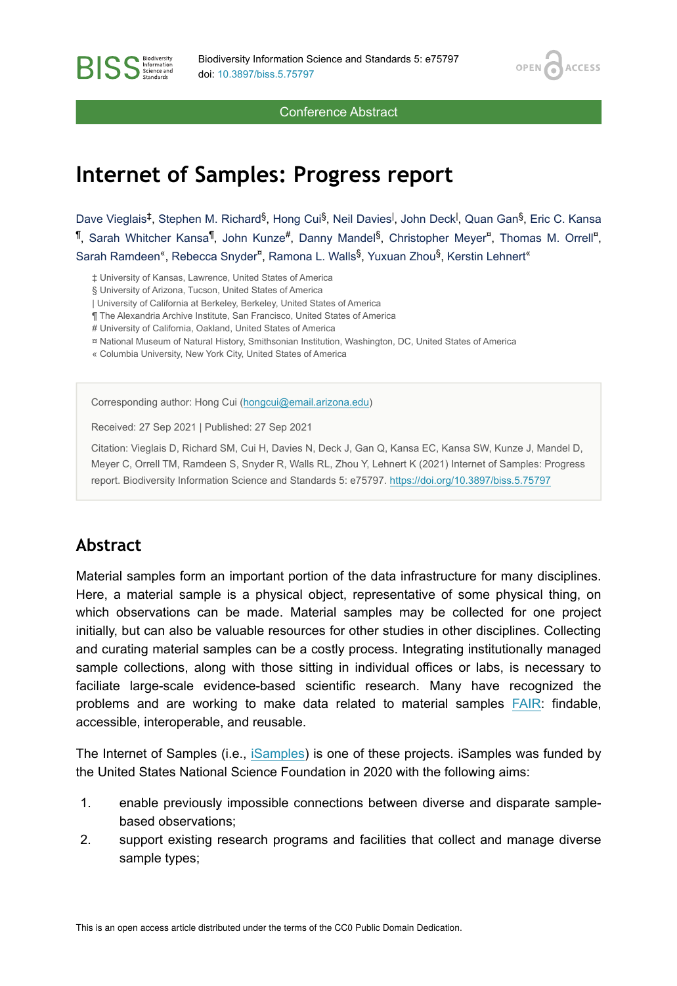OPEN<sub>C</sub>

**ACCESS** 

Conference Abstract

# **Internet of Samples: Progress report**

Dave Vieglais<sup>‡</sup>, Stephen M. Richard<sup>§</sup>, Hong Cui<sup>§</sup>, Neil Davies<sup>|</sup>, John Deck<sup>|</sup>, Quan Gan<sup>§</sup>, Eric C. Kansa 1, Sarah Whitcher Kansa<sup>1</sup>, John Kunze<sup>#</sup>, Danny Mandel<sup>§</sup>, Christopher Meyer<sup>¤</sup>, Thomas M. Orrell<sup>a</sup>, Sarah Ramdeen<sup>«</sup>, Rebecca Snyder<sup>¤</sup>, Ramona L. Walls<sup>§</sup>, Yuxuan Zhou<sup>§</sup>, Kerstin Lehnert<sup>«</sup>

‡ University of Kansas, Lawrence, United States of America

§ University of Arizona, Tucson, United States of America

| University of California at Berkeley, Berkeley, United States of America

¶ The Alexandria Archive Institute, San Francisco, United States of America

# University of California, Oakland, United States of America

¤ National Museum of Natural History, Smithsonian Institution, Washington, DC, United States of America

« Columbia University, New York City, United States of America

Corresponding author: Hong Cui ([hongcui@email.arizona.edu\)](mailto:hongcui@email.arizona.edu)

Received: 27 Sep 2021 | Published: 27 Sep 2021

Citation: Vieglais D, Richard SM, Cui H, Davies N, Deck J, Gan Q, Kansa EC, Kansa SW, Kunze J, Mandel D, Meyer C, Orrell TM, Ramdeen S, Snyder R, Walls RL, Zhou Y, Lehnert K (2021) Internet of Samples: Progress report. Biodiversity Information Science and Standards 5: e75797.<https://doi.org/10.3897/biss.5.75797>

### **Abstract**

**BISS** Steince and

Material samples form an important portion of the data infrastructure for many disciplines. Here, a material sample is a physical object, representative of some physical thing, on which observations can be made. Material samples may be collected for one project initially, but can also be valuable resources for other studies in other disciplines. Collecting and curating material samples can be a costly process. Integrating institutionally managed sample collections, along with those sitting in individual offices or labs, is necessary to faciliate large-scale evidence-based scientific research. Many have recognized the problems and are working to make data related to material samples [FAIR:](https://www.go-fair.org/fair-principles/) findable, accessible, interoperable, and reusable.

The Internet of Samples (i.e., [iSamples](https://isamplesorg.github.io/home/)) is one of these projects. iSamples was funded by the United States National Science Foundation in 2020 with the following aims:

- 1. enable previously impossible connections between diverse and disparate samplebased observations;
- 2. support existing research programs and facilities that collect and manage diverse sample types;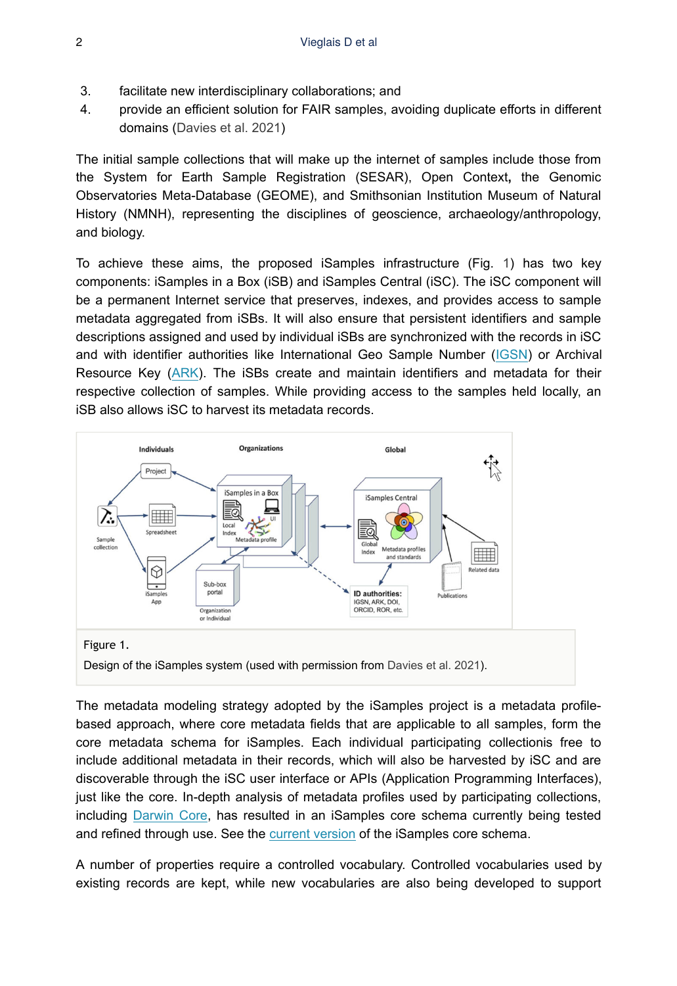- 3. facilitate new interdisciplinary collaborations; and
- 4. provide an efficient solution for FAIR samples, avoiding duplicate efforts in different domains ([Davies et al. 2021](#page-3-0))

The initial sample collections that will make up the internet of samples include those from the System for Earth Sample Registration (SESAR), Open Context**,** the Genomic Observatories Meta-Database (GEOME), and Smithsonian Institution Museum of Natural History (NMNH), representing the disciplines of geoscience, archaeology/anthropology, and biology.

To achieve these aims, the proposed iSamples infrastructure (Fig. [1](#page-1-0)) has two key components: iSamples in a Box (iSB) and iSamples Central (iSC). The iSC component will be a permanent Internet service that preserves, indexes, and provides access to sample metadata aggregated from iSBs. It will also ensure that persistent identifiers and sample descriptions assigned and used by individual iSBs are synchronized with the records in iSC and with identifier authorities like International Geo Sample Number [\(IGSN](https://www.igsn.org/)) or Archival Resource Key ([ARK](https://arks.org/)). The iSBs create and maintain identifiers and metadata for their respective collection of samples. While providing access to the samples held locally, an iSB also allows iSC to harvest its metadata records.

<span id="page-1-0"></span>

The metadata modeling strategy adopted by the iSamples project is a metadata profilebased approach, where core metadata fields that are applicable to all samples, form the core metadata schema for iSamples. Each individual participating collectionis free to include additional metadata in their records, which will also be harvested by iSC and are discoverable through the iSC user interface or APIs (Application Programming Interfaces), just like the core. In-depth analysis of metadata profiles used by participating collections, including [Darwin Core](https://www.tdwg.org/standards/dwc/), has resulted in an iSamples core schema currently being tested and refined through use. See the [current version](https://github.com/isamplesorg/metadata/blob/ee2e2c327a783567ca2c5f5f7917e10492bee5dd/iSamplesSchema0.5linkml.json) of the iSamples core schema.

A number of properties require a controlled vocabulary. Controlled vocabularies used by existing records are kept, while new vocabularies are also being developed to support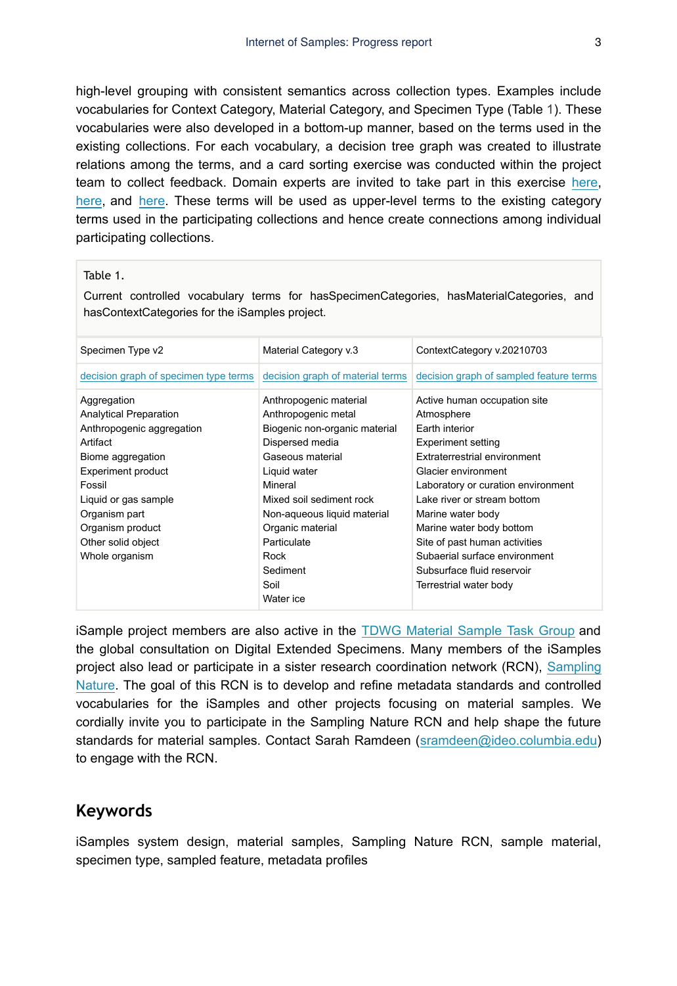high-level grouping with consistent semantics across collection types. Examples include vocabularies for Context Category, Material Category, and Specimen Type (Table [1](#page-2-0)). These vocabularies were also developed in a bottom-up manner, based on the terms used in the existing collections. For each vocabulary, a decision tree graph was created to illustrate relations among the terms, and a card sorting exercise was conducted within the project team to collect feedback. Domain experts are invited to take part in this exercise [here,](https://x12745x3.optimalworkshop.com/optimalsort/3x1kqnv2) [here](https://x12745x3.optimalworkshop.com/optimalsort/ud4300c4-0), and [here.](https://x12745x3.optimalworkshop.com/optimalsort/qf1254qw) These terms will be used as upper-level terms to the existing category terms used in the participating collections and hence create connections among individual participating collections.

#### <span id="page-2-0"></span>Table 1.

Current controlled vocabulary terms for hasSpecimenCategories, hasMaterialCategories, and hasContextCategories for the iSamples project.

| Specimen Type v2                      | Material Category v.3            | ContextCategory v.20210703              |
|---------------------------------------|----------------------------------|-----------------------------------------|
|                                       |                                  |                                         |
| decision graph of specimen type terms | decision graph of material terms | decision graph of sampled feature terms |
| Aggregation                           | Anthropogenic material           | Active human occupation site            |
| <b>Analytical Preparation</b>         | Anthropogenic metal              | Atmosphere                              |
| Anthropogenic aggregation             | Biogenic non-organic material    | Earth interior                          |
| Artifact                              | Dispersed media                  | <b>Experiment setting</b>               |
| Biome aggregation                     | Gaseous material                 | Extraterrestrial environment            |
| <b>Experiment product</b>             | Liquid water                     | Glacier environment                     |
| Fossil                                | Mineral                          | Laboratory or curation environment      |
| Liquid or gas sample                  | Mixed soil sediment rock         | Lake river or stream bottom             |
| Organism part                         | Non-aqueous liquid material      | Marine water body                       |
| Organism product                      | Organic material                 | Marine water body bottom                |
| Other solid object                    | Particulate                      | Site of past human activities           |
| Whole organism                        | Rock                             | Subaerial surface environment           |
|                                       | Sediment                         | Subsurface fluid reservoir              |
|                                       | Soil                             | Terrestrial water body                  |
|                                       | Water ice                        |                                         |

iSample project members are also active in the [TDWG Material Sample Task Group](https://www.tdwg.org/community/osr/material-sample/) and the global consultation on Digital Extended Specimens. Many members of the iSamples project also lead or participate in a sister research coordination network (RCN), [Sampling](https://samplingnature.github.io/) [Nature](https://samplingnature.github.io/). The goal of this RCN is to develop and refine metadata standards and controlled vocabularies for the iSamples and other projects focusing on material samples. We cordially invite you to participate in the Sampling Nature RCN and help shape the future standards for material samples. Contact Sarah Ramdeen ([sramdeen@ideo.columbia.edu](mailto:sramdeen@ideo.columbia.edu)) to engage with the RCN.

#### **Keywords**

iSamples system design, material samples, Sampling Nature RCN, sample material, specimen type, sampled feature, metadata profiles